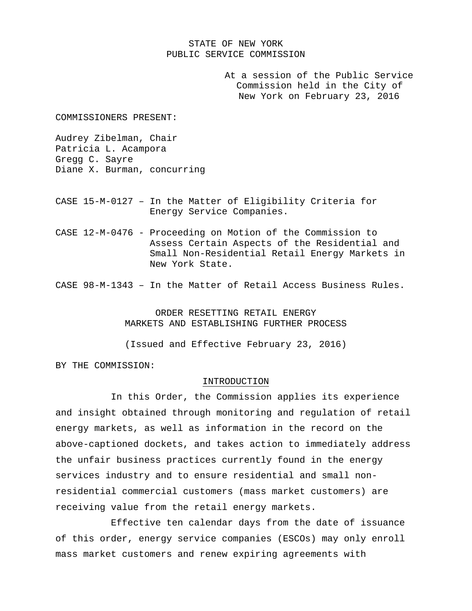### STATE OF NEW YORK PUBLIC SERVICE COMMISSION

At a session of the Public Service Commission held in the City of New York on February 23, 2016

COMMISSIONERS PRESENT:

Audrey Zibelman, Chair Patricia L. Acampora Gregg C. Sayre Diane X. Burman, concurring

- CASE 15-M-0127 In the Matter of Eligibility Criteria for Energy Service Companies.
- CASE 12-M-0476 Proceeding on Motion of the Commission to Assess Certain Aspects of the Residential and Small Non-Residential Retail Energy Markets in New York State.

CASE 98-M-1343 – In the Matter of Retail Access Business Rules.

ORDER RESETTING RETAIL ENERGY MARKETS AND ESTABLISHING FURTHER PROCESS

(Issued and Effective February 23, 2016)

BY THE COMMISSION:

#### INTRODUCTION

 In this Order, the Commission applies its experience and insight obtained through monitoring and regulation of retail energy markets, as well as information in the record on the above-captioned dockets, and takes action to immediately address the unfair business practices currently found in the energy services industry and to ensure residential and small nonresidential commercial customers (mass market customers) are receiving value from the retail energy markets.

 Effective ten calendar days from the date of issuance of this order, energy service companies (ESCOs) may only enroll mass market customers and renew expiring agreements with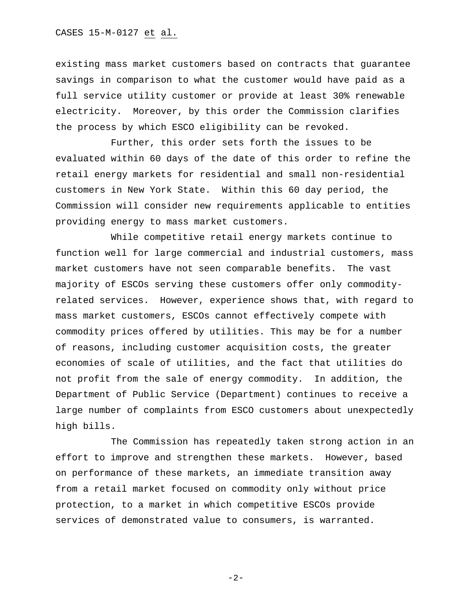existing mass market customers based on contracts that guarantee savings in comparison to what the customer would have paid as a full service utility customer or provide at least 30% renewable electricity. Moreover, by this order the Commission clarifies the process by which ESCO eligibility can be revoked.

 Further, this order sets forth the issues to be evaluated within 60 days of the date of this order to refine the retail energy markets for residential and small non-residential customers in New York State. Within this 60 day period, the Commission will consider new requirements applicable to entities providing energy to mass market customers.

 While competitive retail energy markets continue to function well for large commercial and industrial customers, mass market customers have not seen comparable benefits. The vast majority of ESCOs serving these customers offer only commodityrelated services. However, experience shows that, with regard to mass market customers, ESCOs cannot effectively compete with commodity prices offered by utilities. This may be for a number of reasons, including customer acquisition costs, the greater economies of scale of utilities, and the fact that utilities do not profit from the sale of energy commodity. In addition, the Department of Public Service (Department) continues to receive a large number of complaints from ESCO customers about unexpectedly high bills.

 The Commission has repeatedly taken strong action in an effort to improve and strengthen these markets. However, based on performance of these markets, an immediate transition away from a retail market focused on commodity only without price protection, to a market in which competitive ESCOs provide services of demonstrated value to consumers, is warranted.

 $-2-$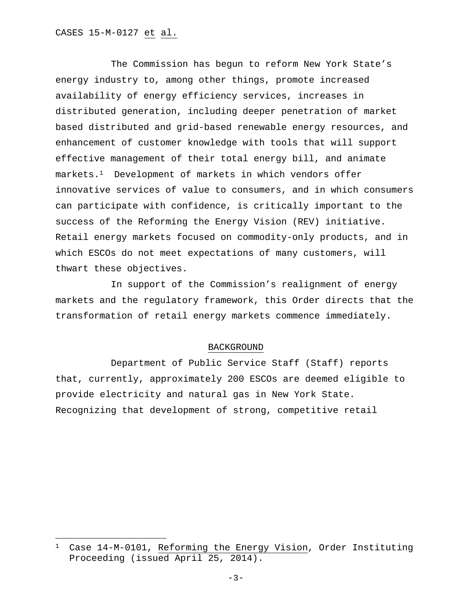The Commission has begun to reform New York State's energy industry to, among other things, promote increased availability of energy efficiency services, increases in distributed generation, including deeper penetration of market based distributed and grid-based renewable energy resources, and enhancement of customer knowledge with tools that will support effective management of their total energy bill, and animate markets.1 Development of markets in which vendors offer innovative services of value to consumers, and in which consumers can participate with confidence, is critically important to the success of the Reforming the Energy Vision (REV) initiative. Retail energy markets focused on commodity-only products, and in which ESCOs do not meet expectations of many customers, will thwart these objectives.

 In support of the Commission's realignment of energy markets and the regulatory framework, this Order directs that the transformation of retail energy markets commence immediately.

#### BACKGROUND

 Department of Public Service Staff (Staff) reports that, currently, approximately 200 ESCOs are deemed eligible to provide electricity and natural gas in New York State. Recognizing that development of strong, competitive retail

<sup>1</sup> Case 14-M-0101, Reforming the Energy Vision, Order Instituting Proceeding (issued April 25, 2014).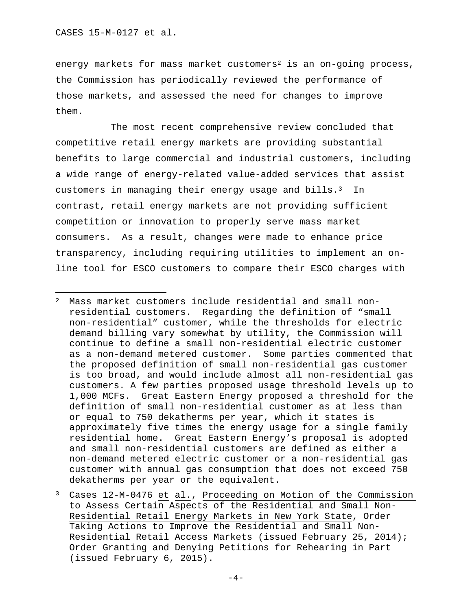energy markets for mass market customers<sup>2</sup> is an on-going process, the Commission has periodically reviewed the performance of those markets, and assessed the need for changes to improve them.

 The most recent comprehensive review concluded that competitive retail energy markets are providing substantial benefits to large commercial and industrial customers, including a wide range of energy-related value-added services that assist customers in managing their energy usage and bills.<sup>3</sup> In contrast, retail energy markets are not providing sufficient competition or innovation to properly serve mass market consumers. As a result, changes were made to enhance price transparency, including requiring utilities to implement an online tool for ESCO customers to compare their ESCO charges with

<sup>2</sup> Mass market customers include residential and small nonresidential customers. Regarding the definition of "small non-residential" customer, while the thresholds for electric demand billing vary somewhat by utility, the Commission will continue to define a small non-residential electric customer as a non-demand metered customer. Some parties commented that the proposed definition of small non-residential gas customer is too broad, and would include almost all non-residential gas customers. A few parties proposed usage threshold levels up to 1,000 MCFs. Great Eastern Energy proposed a threshold for the definition of small non-residential customer as at less than or equal to 750 dekatherms per year, which it states is approximately five times the energy usage for a single family residential home. Great Eastern Energy's proposal is adopted and small non-residential customers are defined as either a non-demand metered electric customer or a non-residential gas customer with annual gas consumption that does not exceed 750 dekatherms per year or the equivalent.

Cases 12-M-0476 et al., Proceeding on Motion of the Commission to Assess Certain Aspects of the Residential and Small Non-Residential Retail Energy Markets in New York State, Order Taking Actions to Improve the Residential and Small Non-Residential Retail Access Markets (issued February 25, 2014); Order Granting and Denying Petitions for Rehearing in Part (issued February 6, 2015).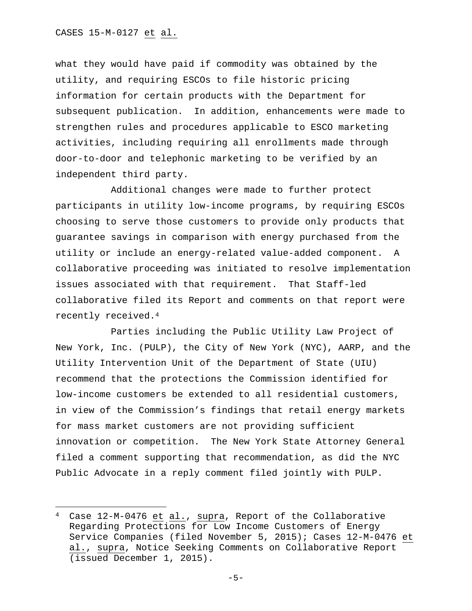what they would have paid if commodity was obtained by the utility, and requiring ESCOs to file historic pricing information for certain products with the Department for subsequent publication. In addition, enhancements were made to strengthen rules and procedures applicable to ESCO marketing activities, including requiring all enrollments made through door-to-door and telephonic marketing to be verified by an independent third party.

 Additional changes were made to further protect participants in utility low-income programs, by requiring ESCOs choosing to serve those customers to provide only products that guarantee savings in comparison with energy purchased from the utility or include an energy-related value-added component. A collaborative proceeding was initiated to resolve implementation issues associated with that requirement. That Staff-led collaborative filed its Report and comments on that report were recently received.4

 Parties including the Public Utility Law Project of New York, Inc. (PULP), the City of New York (NYC), AARP, and the Utility Intervention Unit of the Department of State (UIU) recommend that the protections the Commission identified for low-income customers be extended to all residential customers, in view of the Commission's findings that retail energy markets for mass market customers are not providing sufficient innovation or competition. The New York State Attorney General filed a comment supporting that recommendation, as did the NYC Public Advocate in a reply comment filed jointly with PULP.

<sup>4</sup> Case 12-M-0476 et al., supra, Report of the Collaborative Regarding Protections for Low Income Customers of Energy Service Companies (filed November 5, 2015); Cases 12-M-0476 et al., supra, Notice Seeking Comments on Collaborative Report (issued December 1, 2015).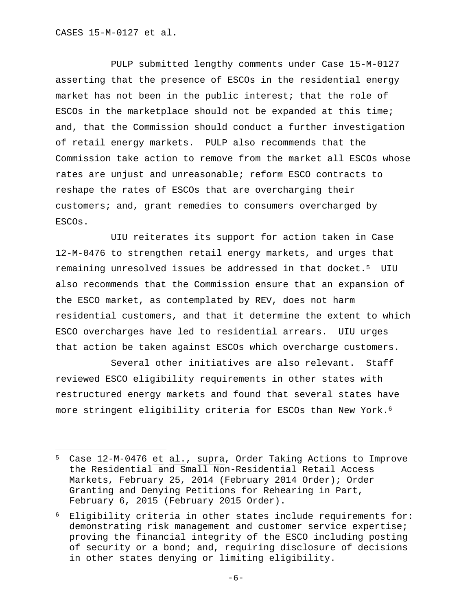PULP submitted lengthy comments under Case 15-M-0127 asserting that the presence of ESCOs in the residential energy market has not been in the public interest; that the role of ESCOs in the marketplace should not be expanded at this time; and, that the Commission should conduct a further investigation of retail energy markets. PULP also recommends that the Commission take action to remove from the market all ESCOs whose rates are unjust and unreasonable; reform ESCO contracts to reshape the rates of ESCOs that are overcharging their customers; and, grant remedies to consumers overcharged by ESCOs.

UIU reiterates its support for action taken in Case 12-M-0476 to strengthen retail energy markets, and urges that remaining unresolved issues be addressed in that docket.<sup>5</sup> UIU also recommends that the Commission ensure that an expansion of the ESCO market, as contemplated by REV, does not harm residential customers, and that it determine the extent to which ESCO overcharges have led to residential arrears. UIU urges that action be taken against ESCOs which overcharge customers.

 Several other initiatives are also relevant. Staff reviewed ESCO eligibility requirements in other states with restructured energy markets and found that several states have more stringent eligibility criteria for ESCOs than New York.<sup>6</sup>

<sup>5</sup> Case 12-M-0476 et al., supra, Order Taking Actions to Improve the Residential and Small Non-Residential Retail Access Markets, February 25, 2014 (February 2014 Order); Order Granting and Denying Petitions for Rehearing in Part, February 6, 2015 (February 2015 Order).

<sup>6</sup> Eligibility criteria in other states include requirements for: demonstrating risk management and customer service expertise; proving the financial integrity of the ESCO including posting of security or a bond; and, requiring disclosure of decisions in other states denying or limiting eligibility.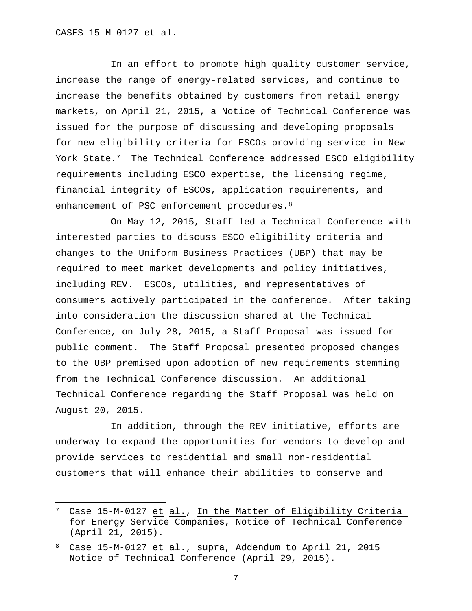In an effort to promote high quality customer service, increase the range of energy-related services, and continue to increase the benefits obtained by customers from retail energy markets, on April 21, 2015, a Notice of Technical Conference was issued for the purpose of discussing and developing proposals for new eligibility criteria for ESCOs providing service in New York State.7 The Technical Conference addressed ESCO eligibility requirements including ESCO expertise, the licensing regime, financial integrity of ESCOs, application requirements, and enhancement of PSC enforcement procedures.<sup>8</sup>

 On May 12, 2015, Staff led a Technical Conference with interested parties to discuss ESCO eligibility criteria and changes to the Uniform Business Practices (UBP) that may be required to meet market developments and policy initiatives, including REV. ESCOs, utilities, and representatives of consumers actively participated in the conference. After taking into consideration the discussion shared at the Technical Conference, on July 28, 2015, a Staff Proposal was issued for public comment. The Staff Proposal presented proposed changes to the UBP premised upon adoption of new requirements stemming from the Technical Conference discussion. An additional Technical Conference regarding the Staff Proposal was held on August 20, 2015.

 In addition, through the REV initiative, efforts are underway to expand the opportunities for vendors to develop and provide services to residential and small non-residential customers that will enhance their abilities to conserve and

<sup>7</sup> Case 15-M-0127 et al., In the Matter of Eligibility Criteria for Energy Service Companies, Notice of Technical Conference (April 21, 2015).

<sup>8</sup> Case 15-M-0127 et al., supra, Addendum to April 21, 2015 Notice of Technical Conference (April 29, 2015).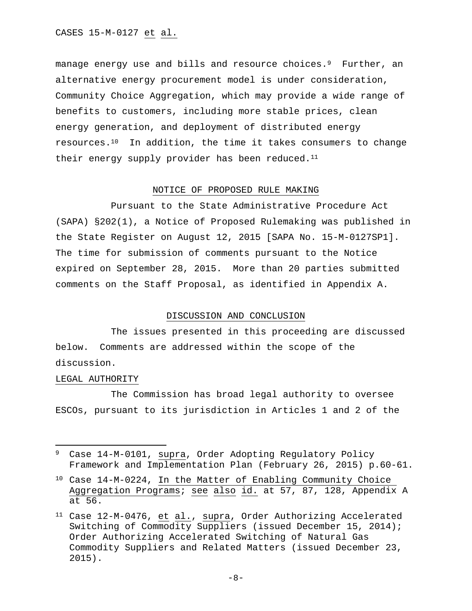CASES 15-M-0127 et al.

manage energy use and bills and resource choices.<sup>9</sup> Further, an alternative energy procurement model is under consideration, Community Choice Aggregation, which may provide a wide range of benefits to customers, including more stable prices, clean energy generation, and deployment of distributed energy resources.10 In addition, the time it takes consumers to change their energy supply provider has been reduced. $11$ 

## NOTICE OF PROPOSED RULE MAKING

 Pursuant to the State Administrative Procedure Act (SAPA) §202(1), a Notice of Proposed Rulemaking was published in the State Register on August 12, 2015 [SAPA No. 15-M-0127SP1]. The time for submission of comments pursuant to the Notice expired on September 28, 2015. More than 20 parties submitted comments on the Staff Proposal, as identified in Appendix A.

### DISCUSSION AND CONCLUSION

 The issues presented in this proceeding are discussed below. Comments are addressed within the scope of the discussion.

#### LEGAL AUTHORITY

 The Commission has broad legal authority to oversee ESCOs, pursuant to its jurisdiction in Articles 1 and 2 of the

<sup>9</sup> Case 14-M-0101, supra, Order Adopting Regulatory Policy Framework and Implementation Plan (February 26, 2015) p.60-61.

<sup>10</sup> Case 14-M-0224, In the Matter of Enabling Community Choice Aggregation Programs; see also id. at 57, 87, 128, Appendix A at 56.

<sup>11</sup> Case 12-M-0476, et al., supra, Order Authorizing Accelerated Switching of Commodity Suppliers (issued December 15, 2014); Order Authorizing Accelerated Switching of Natural Gas Commodity Suppliers and Related Matters (issued December 23, 2015).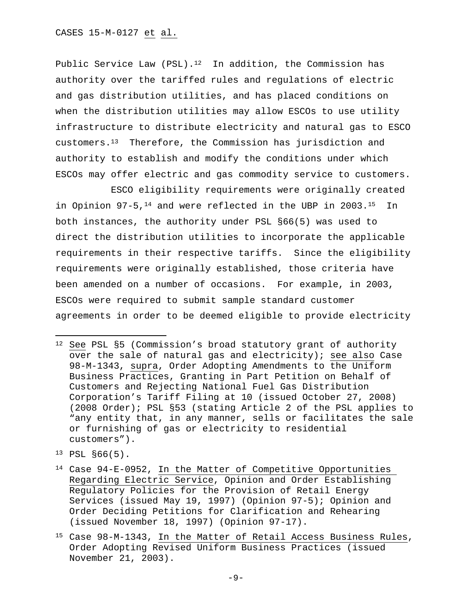Public Service Law (PSL).<sup>12</sup> In addition, the Commission has authority over the tariffed rules and regulations of electric and gas distribution utilities, and has placed conditions on when the distribution utilities may allow ESCOs to use utility infrastructure to distribute electricity and natural gas to ESCO customers.13 Therefore, the Commission has jurisdiction and authority to establish and modify the conditions under which ESCOs may offer electric and gas commodity service to customers.

 ESCO eligibility requirements were originally created in Opinion  $97-5$ ,  $^{14}$  and were reflected in the UBP in 2003.<sup>15</sup> In both instances, the authority under PSL §66(5) was used to direct the distribution utilities to incorporate the applicable requirements in their respective tariffs. Since the eligibility requirements were originally established, those criteria have been amended on a number of occasions. For example, in 2003, ESCOs were required to submit sample standard customer agreements in order to be deemed eligible to provide electricity

13 PSL §66(5).

- 14 Case 94-E-0952, In the Matter of Competitive Opportunities Regarding Electric Service, Opinion and Order Establishing Regulatory Policies for the Provision of Retail Energy Services (issued May 19, 1997) (Opinion 97-5); Opinion and Order Deciding Petitions for Clarification and Rehearing (issued November 18, 1997) (Opinion 97-17).
- 15 Case 98-M-1343, In the Matter of Retail Access Business Rules, Order Adopting Revised Uniform Business Practices (issued November 21, 2003).

<sup>12</sup> See PSL §5 (Commission's broad statutory grant of authority over the sale of natural gas and electricity); see also Case 98-M-1343, supra, Order Adopting Amendments to the Uniform Business Practices, Granting in Part Petition on Behalf of Customers and Rejecting National Fuel Gas Distribution Corporation's Tariff Filing at 10 (issued October 27, 2008) (2008 Order); PSL §53 (stating Article 2 of the PSL applies to "any entity that, in any manner, sells or facilitates the sale or furnishing of gas or electricity to residential customers").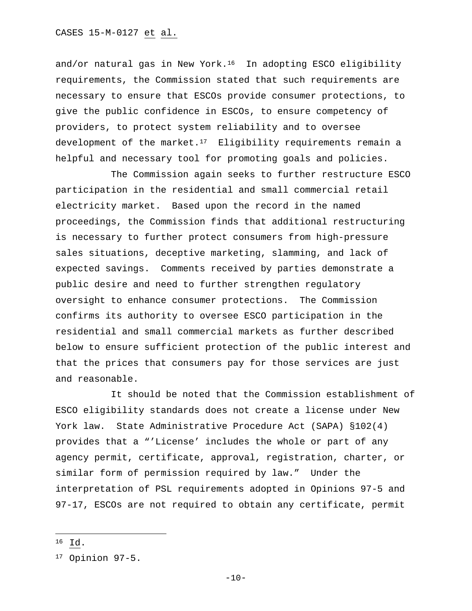and/or natural gas in New York.<sup>16</sup> In adopting ESCO eligibility requirements, the Commission stated that such requirements are necessary to ensure that ESCOs provide consumer protections, to give the public confidence in ESCOs, to ensure competency of providers, to protect system reliability and to oversee development of the market.<sup>17</sup> Eligibility requirements remain a helpful and necessary tool for promoting goals and policies.

 The Commission again seeks to further restructure ESCO participation in the residential and small commercial retail electricity market. Based upon the record in the named proceedings, the Commission finds that additional restructuring is necessary to further protect consumers from high-pressure sales situations, deceptive marketing, slamming, and lack of expected savings. Comments received by parties demonstrate a public desire and need to further strengthen regulatory oversight to enhance consumer protections. The Commission confirms its authority to oversee ESCO participation in the residential and small commercial markets as further described below to ensure sufficient protection of the public interest and that the prices that consumers pay for those services are just and reasonable.

 It should be noted that the Commission establishment of ESCO eligibility standards does not create a license under New York law. State Administrative Procedure Act (SAPA) §102(4) provides that a "'License' includes the whole or part of any agency permit, certificate, approval, registration, charter, or similar form of permission required by law." Under the interpretation of PSL requirements adopted in Opinions 97-5 and 97-17, ESCOs are not required to obtain any certificate, permit

<sup>16</sup> Id.

<sup>17</sup> Opinion 97-5.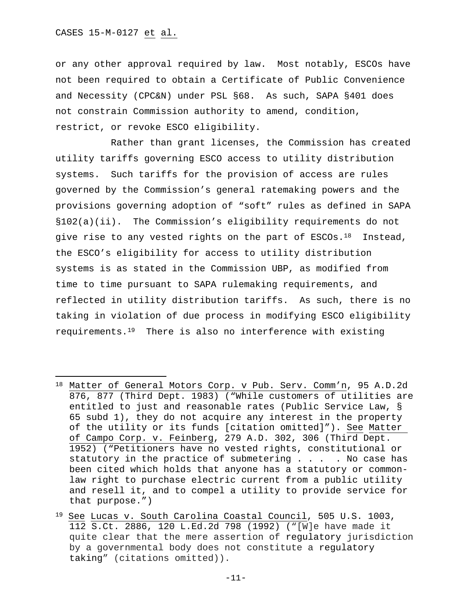or any other approval required by law. Most notably, ESCOs have not been required to obtain a Certificate of Public Convenience and Necessity (CPC&N) under PSL §68. As such, SAPA §401 does not constrain Commission authority to amend, condition, restrict, or revoke ESCO eligibility.

 Rather than grant licenses, the Commission has created utility tariffs governing ESCO access to utility distribution systems. Such tariffs for the provision of access are rules governed by the Commission's general ratemaking powers and the provisions governing adoption of "soft" rules as defined in SAPA §102(a)(ii). The Commission's eligibility requirements do not give rise to any vested rights on the part of ESCOs.<sup>18</sup> Instead, the ESCO's eligibility for access to utility distribution systems is as stated in the Commission UBP, as modified from time to time pursuant to SAPA rulemaking requirements, and reflected in utility distribution tariffs. As such, there is no taking in violation of due process in modifying ESCO eligibility requirements.19 There is also no interference with existing

<sup>18</sup> Matter of General Motors Corp. v Pub. Serv. Comm'n, 95 A.D.2d 876, 877 (Third Dept. 1983) ("While customers of utilities are entitled to just and reasonable rates (Public Service Law, § 65 subd 1), they do not acquire any interest in the property of the utility or its funds [citation omitted]"). See Matter of Campo Corp. v. Feinberg, 279 A.D. 302, 306 (Third Dept. 1952) ("Petitioners have no vested rights, constitutional or statutory in the practice of submetering . . . . No case has been cited which holds that anyone has a statutory or commonlaw right to purchase electric current from a public utility and resell it, and to compel a utility to provide service for that purpose.")

<sup>19</sup> See Lucas v. South Carolina Coastal Council, 505 U.S. 1003, 112 S.Ct. 2886, 120 L.Ed.2d 798 (1992) ("[W]e have made it quite clear that the mere assertion of regulatory jurisdiction by a governmental body does not constitute a regulatory taking" (citations omitted)).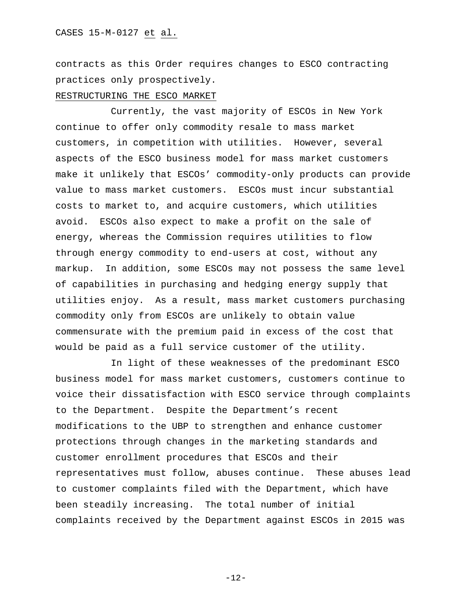contracts as this Order requires changes to ESCO contracting practices only prospectively.

#### RESTRUCTURING THE ESCO MARKET

Currently, the vast majority of ESCOs in New York continue to offer only commodity resale to mass market customers, in competition with utilities. However, several aspects of the ESCO business model for mass market customers make it unlikely that ESCOs' commodity-only products can provide value to mass market customers. ESCOs must incur substantial costs to market to, and acquire customers, which utilities avoid. ESCOs also expect to make a profit on the sale of energy, whereas the Commission requires utilities to flow through energy commodity to end-users at cost, without any markup. In addition, some ESCOs may not possess the same level of capabilities in purchasing and hedging energy supply that utilities enjoy. As a result, mass market customers purchasing commodity only from ESCOs are unlikely to obtain value commensurate with the premium paid in excess of the cost that would be paid as a full service customer of the utility.

In light of these weaknesses of the predominant ESCO business model for mass market customers, customers continue to voice their dissatisfaction with ESCO service through complaints to the Department. Despite the Department's recent modifications to the UBP to strengthen and enhance customer protections through changes in the marketing standards and customer enrollment procedures that ESCOs and their representatives must follow, abuses continue. These abuses lead to customer complaints filed with the Department, which have been steadily increasing. The total number of initial complaints received by the Department against ESCOs in 2015 was

-12-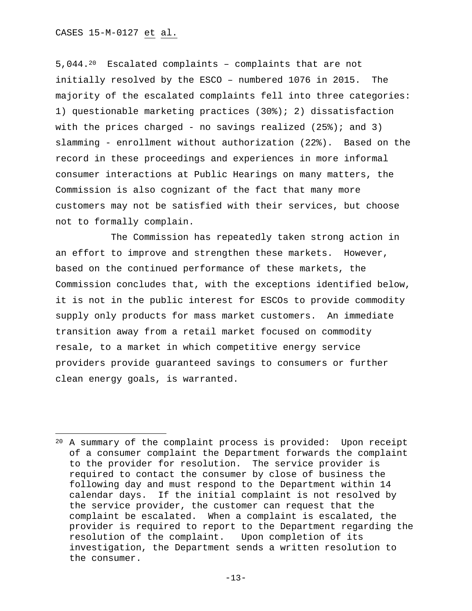5,044.20 Escalated complaints – complaints that are not initially resolved by the ESCO – numbered 1076 in 2015. The majority of the escalated complaints fell into three categories: 1) questionable marketing practices (30%); 2) dissatisfaction with the prices charged - no savings realized  $(25*)$ ; and 3) slamming - enrollment without authorization (22%). Based on the record in these proceedings and experiences in more informal consumer interactions at Public Hearings on many matters, the Commission is also cognizant of the fact that many more customers may not be satisfied with their services, but choose not to formally complain.

The Commission has repeatedly taken strong action in an effort to improve and strengthen these markets. However, based on the continued performance of these markets, the Commission concludes that, with the exceptions identified below, it is not in the public interest for ESCOs to provide commodity supply only products for mass market customers. An immediate transition away from a retail market focused on commodity resale, to a market in which competitive energy service providers provide guaranteed savings to consumers or further clean energy goals, is warranted.

<sup>20</sup> A summary of the complaint process is provided: Upon receipt of a consumer complaint the Department forwards the complaint to the provider for resolution. The service provider is required to contact the consumer by close of business the following day and must respond to the Department within 14 calendar days. If the initial complaint is not resolved by the service provider, the customer can request that the complaint be escalated. When a complaint is escalated, the provider is required to report to the Department regarding the resolution of the complaint. Upon completion of its investigation, the Department sends a written resolution to the consumer.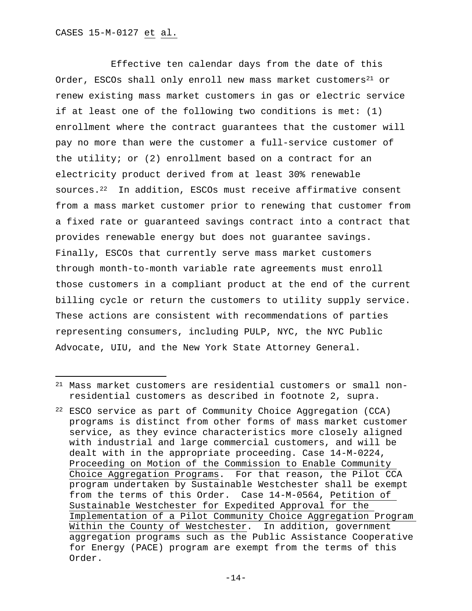Effective ten calendar days from the date of this Order, ESCOs shall only enroll new mass market customers<sup>21</sup> or renew existing mass market customers in gas or electric service if at least one of the following two conditions is met: (1) enrollment where the contract guarantees that the customer will pay no more than were the customer a full-service customer of the utility; or (2) enrollment based on a contract for an electricity product derived from at least 30% renewable sources.22 In addition, ESCOs must receive affirmative consent from a mass market customer prior to renewing that customer from a fixed rate or guaranteed savings contract into a contract that provides renewable energy but does not guarantee savings. Finally, ESCOs that currently serve mass market customers through month-to-month variable rate agreements must enroll those customers in a compliant product at the end of the current billing cycle or return the customers to utility supply service. These actions are consistent with recommendations of parties representing consumers, including PULP, NYC, the NYC Public Advocate, UIU, and the New York State Attorney General.

<sup>21</sup> Mass market customers are residential customers or small nonresidential customers as described in footnote 2, supra.

<sup>22</sup> ESCO service as part of Community Choice Aggregation (CCA) programs is distinct from other forms of mass market customer service, as they evince characteristics more closely aligned with industrial and large commercial customers, and will be dealt with in the appropriate proceeding. Case 14-M-0224, Proceeding on Motion of the Commission to Enable Community Choice Aggregation Programs. For that reason, the Pilot CCA program undertaken by Sustainable Westchester shall be exempt from the terms of this Order. Case 14-M-0564, Petition of Sustainable Westchester for Expedited Approval for the Implementation of a Pilot Community Choice Aggregation Program Within the County of Westchester. In addition, government aggregation programs such as the Public Assistance Cooperative for Energy (PACE) program are exempt from the terms of this Order.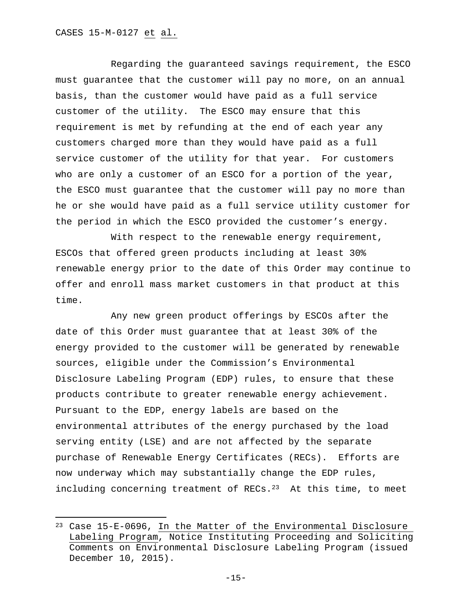Regarding the guaranteed savings requirement, the ESCO must guarantee that the customer will pay no more, on an annual basis, than the customer would have paid as a full service customer of the utility. The ESCO may ensure that this requirement is met by refunding at the end of each year any customers charged more than they would have paid as a full service customer of the utility for that year. For customers who are only a customer of an ESCO for a portion of the year, the ESCO must guarantee that the customer will pay no more than he or she would have paid as a full service utility customer for the period in which the ESCO provided the customer's energy.

With respect to the renewable energy requirement, ESCOs that offered green products including at least 30% renewable energy prior to the date of this Order may continue to offer and enroll mass market customers in that product at this time.

Any new green product offerings by ESCOs after the date of this Order must guarantee that at least 30% of the energy provided to the customer will be generated by renewable sources, eligible under the Commission's Environmental Disclosure Labeling Program (EDP) rules, to ensure that these products contribute to greater renewable energy achievement. Pursuant to the EDP, energy labels are based on the environmental attributes of the energy purchased by the load serving entity (LSE) and are not affected by the separate purchase of Renewable Energy Certificates (RECs). Efforts are now underway which may substantially change the EDP rules, including concerning treatment of RECs. $23$  At this time, to meet

<sup>23</sup> Case 15-E-0696, In the Matter of the Environmental Disclosure Labeling Program, Notice Instituting Proceeding and Soliciting Comments on Environmental Disclosure Labeling Program (issued December 10, 2015).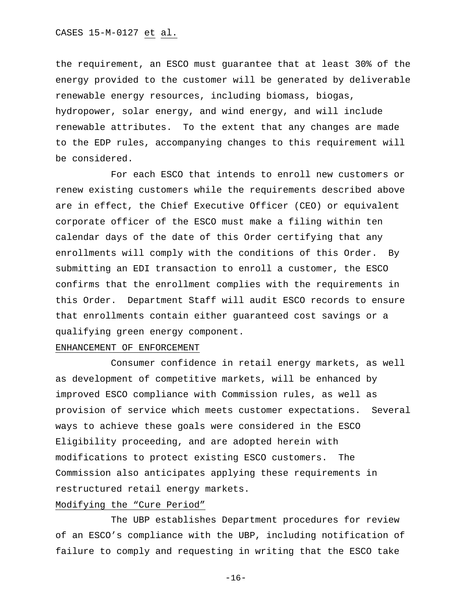the requirement, an ESCO must guarantee that at least 30% of the energy provided to the customer will be generated by deliverable renewable energy resources, including biomass, biogas, hydropower, solar energy, and wind energy, and will include renewable attributes. To the extent that any changes are made to the EDP rules, accompanying changes to this requirement will be considered.

For each ESCO that intends to enroll new customers or renew existing customers while the requirements described above are in effect, the Chief Executive Officer (CEO) or equivalent corporate officer of the ESCO must make a filing within ten calendar days of the date of this Order certifying that any enrollments will comply with the conditions of this Order. By submitting an EDI transaction to enroll a customer, the ESCO confirms that the enrollment complies with the requirements in this Order. Department Staff will audit ESCO records to ensure that enrollments contain either guaranteed cost savings or a qualifying green energy component.

#### ENHANCEMENT OF ENFORCEMENT

Consumer confidence in retail energy markets, as well as development of competitive markets, will be enhanced by improved ESCO compliance with Commission rules, as well as provision of service which meets customer expectations. Several ways to achieve these goals were considered in the ESCO Eligibility proceeding, and are adopted herein with modifications to protect existing ESCO customers. The Commission also anticipates applying these requirements in restructured retail energy markets.

# Modifying the "Cure Period"

 The UBP establishes Department procedures for review of an ESCO's compliance with the UBP, including notification of failure to comply and requesting in writing that the ESCO take

 $-16-$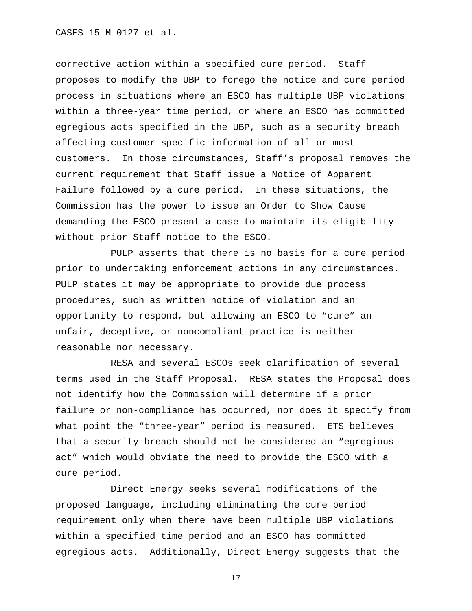corrective action within a specified cure period. Staff proposes to modify the UBP to forego the notice and cure period process in situations where an ESCO has multiple UBP violations within a three-year time period, or where an ESCO has committed egregious acts specified in the UBP, such as a security breach affecting customer-specific information of all or most customers. In those circumstances, Staff's proposal removes the current requirement that Staff issue a Notice of Apparent Failure followed by a cure period. In these situations, the Commission has the power to issue an Order to Show Cause demanding the ESCO present a case to maintain its eligibility without prior Staff notice to the ESCO.

 PULP asserts that there is no basis for a cure period prior to undertaking enforcement actions in any circumstances. PULP states it may be appropriate to provide due process procedures, such as written notice of violation and an opportunity to respond, but allowing an ESCO to "cure" an unfair, deceptive, or noncompliant practice is neither reasonable nor necessary.

 RESA and several ESCOs seek clarification of several terms used in the Staff Proposal. RESA states the Proposal does not identify how the Commission will determine if a prior failure or non-compliance has occurred, nor does it specify from what point the "three-year" period is measured. ETS believes that a security breach should not be considered an "egregious act" which would obviate the need to provide the ESCO with a cure period.

 Direct Energy seeks several modifications of the proposed language, including eliminating the cure period requirement only when there have been multiple UBP violations within a specified time period and an ESCO has committed egregious acts. Additionally, Direct Energy suggests that the

-17-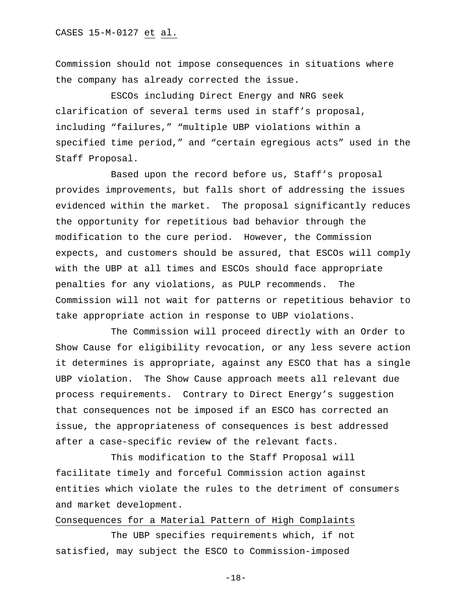Commission should not impose consequences in situations where the company has already corrected the issue.

 ESCOs including Direct Energy and NRG seek clarification of several terms used in staff's proposal, including "failures," "multiple UBP violations within a specified time period," and "certain egregious acts" used in the Staff Proposal.

 Based upon the record before us, Staff's proposal provides improvements, but falls short of addressing the issues evidenced within the market. The proposal significantly reduces the opportunity for repetitious bad behavior through the modification to the cure period. However, the Commission expects, and customers should be assured, that ESCOs will comply with the UBP at all times and ESCOs should face appropriate penalties for any violations, as PULP recommends. The Commission will not wait for patterns or repetitious behavior to take appropriate action in response to UBP violations.

 The Commission will proceed directly with an Order to Show Cause for eligibility revocation, or any less severe action it determines is appropriate, against any ESCO that has a single UBP violation. The Show Cause approach meets all relevant due process requirements. Contrary to Direct Energy's suggestion that consequences not be imposed if an ESCO has corrected an issue, the appropriateness of consequences is best addressed after a case-specific review of the relevant facts.

 This modification to the Staff Proposal will facilitate timely and forceful Commission action against entities which violate the rules to the detriment of consumers and market development.

## Consequences for a Material Pattern of High Complaints

 The UBP specifies requirements which, if not satisfied, may subject the ESCO to Commission-imposed

-18-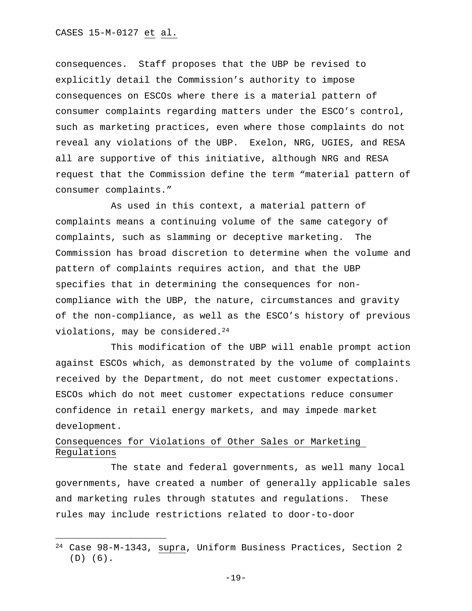CASES 15-M-0127 et al.

consequences. Staff proposes that the UBP be revised to explicitly detail the Commission's authority to impose consequences on ESCOs where there is a material pattern of consumer complaints regarding matters under the ESCO's control, such as marketing practices, even where those complaints do not reveal any violations of the UBP. Exelon, NRG, UGIES, and RESA all are supportive of this initiative, although NRG and RESA request that the Commission define the term "material pattern of consumer complaints."

 As used in this context, a material pattern of complaints means a continuing volume of the same category of complaints, such as slamming or deceptive marketing. The Commission has broad discretion to determine when the volume and pattern of complaints requires action, and that the UBP specifies that in determining the consequences for noncompliance with the UBP, the nature, circumstances and gravity of the non-compliance, as well as the ESCO's history of previous violations, may be considered.24

 This modification of the UBP will enable prompt action against ESCOs which, as demonstrated by the volume of complaints received by the Department, do not meet customer expectations. ESCOs which do not meet customer expectations reduce consumer confidence in retail energy markets, and may impede market development.

# Consequences for Violations of Other Sales or Marketing Regulations

 The state and federal governments, as well many local governments, have created a number of generally applicable sales and marketing rules through statutes and regulations. These rules may include restrictions related to door-to-door

<sup>24</sup> Case 98-M-1343, supra, Uniform Business Practices, Section 2 (D) (6).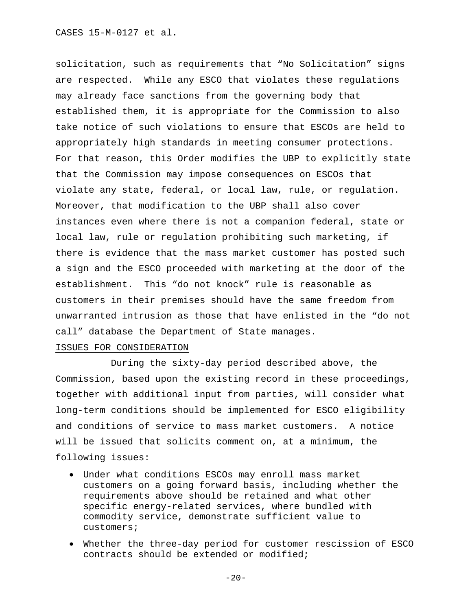solicitation, such as requirements that "No Solicitation" signs are respected. While any ESCO that violates these regulations may already face sanctions from the governing body that established them, it is appropriate for the Commission to also take notice of such violations to ensure that ESCOs are held to appropriately high standards in meeting consumer protections. For that reason, this Order modifies the UBP to explicitly state that the Commission may impose consequences on ESCOs that violate any state, federal, or local law, rule, or regulation. Moreover, that modification to the UBP shall also cover instances even where there is not a companion federal, state or local law, rule or regulation prohibiting such marketing, if there is evidence that the mass market customer has posted such a sign and the ESCO proceeded with marketing at the door of the establishment. This "do not knock" rule is reasonable as customers in their premises should have the same freedom from unwarranted intrusion as those that have enlisted in the "do not call" database the Department of State manages.

#### ISSUES FOR CONSIDERATION

 During the sixty-day period described above, the Commission, based upon the existing record in these proceedings, together with additional input from parties, will consider what long-term conditions should be implemented for ESCO eligibility and conditions of service to mass market customers. A notice will be issued that solicits comment on, at a minimum, the following issues:

- Under what conditions ESCOs may enroll mass market customers on a going forward basis, including whether the requirements above should be retained and what other specific energy-related services, where bundled with commodity service, demonstrate sufficient value to customers;
- Whether the three-day period for customer rescission of ESCO contracts should be extended or modified;

 $-20-$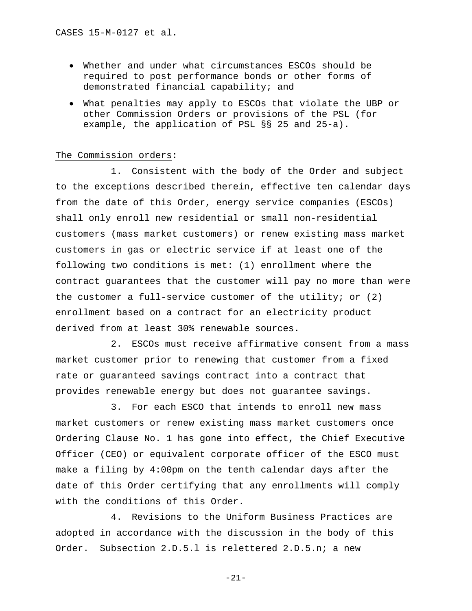- Whether and under what circumstances ESCOs should be required to post performance bonds or other forms of demonstrated financial capability; and
- What penalties may apply to ESCOs that violate the UBP or other Commission Orders or provisions of the PSL (for example, the application of PSL §§ 25 and 25-a).

#### The Commission orders:

1. Consistent with the body of the Order and subject to the exceptions described therein, effective ten calendar days from the date of this Order, energy service companies (ESCOs) shall only enroll new residential or small non-residential customers (mass market customers) or renew existing mass market customers in gas or electric service if at least one of the following two conditions is met: (1) enrollment where the contract guarantees that the customer will pay no more than were the customer a full-service customer of the utility; or (2) enrollment based on a contract for an electricity product derived from at least 30% renewable sources.

2. ESCOs must receive affirmative consent from a mass market customer prior to renewing that customer from a fixed rate or guaranteed savings contract into a contract that provides renewable energy but does not guarantee savings.

3. For each ESCO that intends to enroll new mass market customers or renew existing mass market customers once Ordering Clause No. 1 has gone into effect, the Chief Executive Officer (CEO) or equivalent corporate officer of the ESCO must make a filing by 4:00pm on the tenth calendar days after the date of this Order certifying that any enrollments will comply with the conditions of this Order.

4. Revisions to the Uniform Business Practices are adopted in accordance with the discussion in the body of this Order. Subsection 2.D.5.l is relettered 2.D.5.n; a new

-21-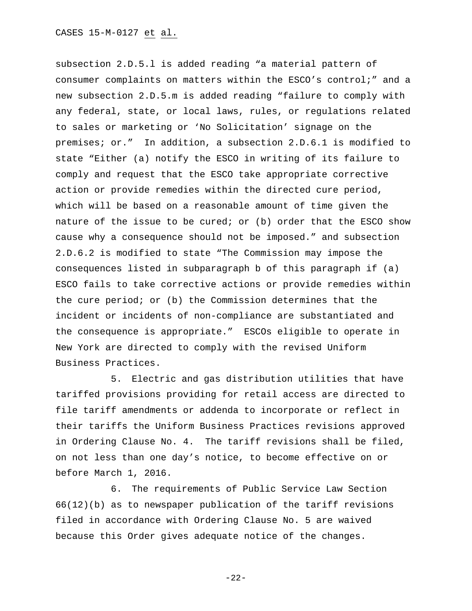subsection 2.D.5.l is added reading "a material pattern of consumer complaints on matters within the ESCO's control;" and a new subsection 2.D.5.m is added reading "failure to comply with any federal, state, or local laws, rules, or regulations related to sales or marketing or 'No Solicitation' signage on the premises; or." In addition, a subsection 2.D.6.1 is modified to state "Either (a) notify the ESCO in writing of its failure to comply and request that the ESCO take appropriate corrective action or provide remedies within the directed cure period, which will be based on a reasonable amount of time given the nature of the issue to be cured; or (b) order that the ESCO show cause why a consequence should not be imposed." and subsection 2.D.6.2 is modified to state "The Commission may impose the consequences listed in subparagraph b of this paragraph if (a) ESCO fails to take corrective actions or provide remedies within the cure period; or (b) the Commission determines that the incident or incidents of non-compliance are substantiated and the consequence is appropriate." ESCOs eligible to operate in New York are directed to comply with the revised Uniform Business Practices.

5. Electric and gas distribution utilities that have tariffed provisions providing for retail access are directed to file tariff amendments or addenda to incorporate or reflect in their tariffs the Uniform Business Practices revisions approved in Ordering Clause No. 4. The tariff revisions shall be filed, on not less than one day's notice, to become effective on or before March 1, 2016.

6. The requirements of Public Service Law Section 66(12)(b) as to newspaper publication of the tariff revisions filed in accordance with Ordering Clause No. 5 are waived because this Order gives adequate notice of the changes.

-22-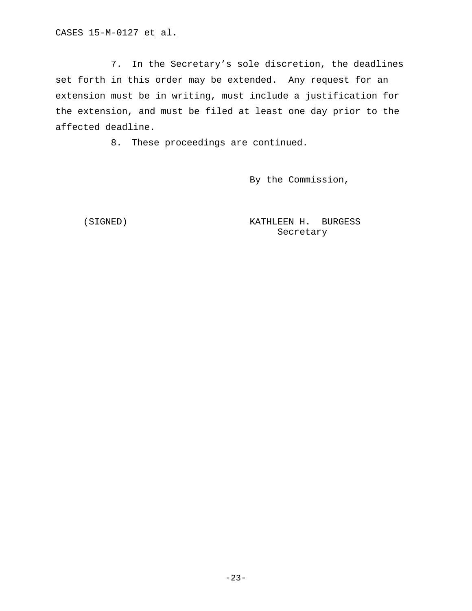7. In the Secretary's sole discretion, the deadlines set forth in this order may be extended. Any request for an extension must be in writing, must include a justification for the extension, and must be filed at least one day prior to the affected deadline.

8. These proceedings are continued.

By the Commission,

 (SIGNED) KATHLEEN H. BURGESS Secretary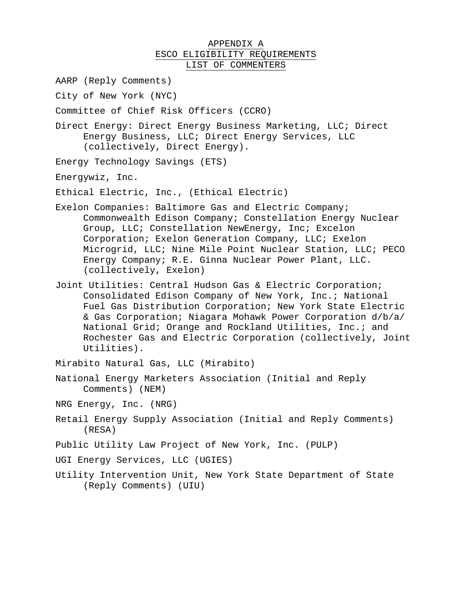# APPENDIX A ESCO ELIGIBILITY REQUIREMENTS LIST OF COMMENTERS

AARP (Reply Comments)

City of New York (NYC)

Committee of Chief Risk Officers (CCRO)

Direct Energy: Direct Energy Business Marketing, LLC; Direct Energy Business, LLC; Direct Energy Services, LLC (collectively, Direct Energy).

Energy Technology Savings (ETS)

Energywiz, Inc.

Ethical Electric, Inc., (Ethical Electric)

- Exelon Companies: Baltimore Gas and Electric Company; Commonwealth Edison Company; Constellation Energy Nuclear Group, LLC; Constellation NewEnergy, Inc; Excelon Corporation; Exelon Generation Company, LLC; Exelon Microgrid, LLC; Nine Mile Point Nuclear Station, LLC; PECO Energy Company; R.E. Ginna Nuclear Power Plant, LLC. (collectively, Exelon)
- Joint Utilities: Central Hudson Gas & Electric Corporation; Consolidated Edison Company of New York, Inc.; National Fuel Gas Distribution Corporation; New York State Electric & Gas Corporation; Niagara Mohawk Power Corporation d/b/a/ National Grid; Orange and Rockland Utilities, Inc.; and Rochester Gas and Electric Corporation (collectively, Joint Utilities).

Mirabito Natural Gas, LLC (Mirabito)

- National Energy Marketers Association (Initial and Reply Comments) (NEM)
- NRG Energy, Inc. (NRG)
- Retail Energy Supply Association (Initial and Reply Comments) (RESA)
- Public Utility Law Project of New York, Inc. (PULP)
- UGI Energy Services, LLC (UGIES)
- Utility Intervention Unit, New York State Department of State (Reply Comments) (UIU)